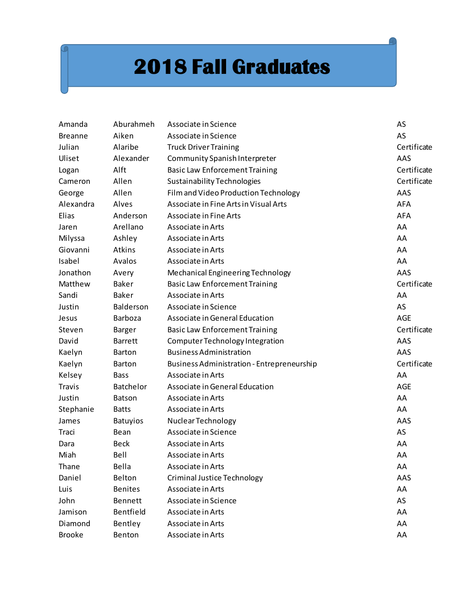## **2018 Fall Graduates**

| Amanda         | Aburahmeh       | Associate in Science                       | AS          |
|----------------|-----------------|--------------------------------------------|-------------|
| <b>Breanne</b> | Aiken           | Associate in Science                       | AS          |
| Julian         | Alaribe         | <b>Truck Driver Training</b>               | Certificate |
| Uliset         | Alexander       | Community Spanish Interpreter              | AAS         |
| Logan          | Alft            | <b>Basic Law Enforcement Training</b>      | Certificate |
| Cameron        | Allen           | Sustainability Technologies                | Certificate |
| George         | Allen           | Film and Video Production Technology       | AAS         |
| Alexandra      | Alves           | Associate in Fine Arts in Visual Arts      | <b>AFA</b>  |
| Elias          | Anderson        | Associate in Fine Arts                     | <b>AFA</b>  |
| Jaren          | Arellano        | Associate in Arts                          | AA          |
| Milyssa        | Ashley          | Associate in Arts                          | AA          |
| Giovanni       | Atkins          | Associate in Arts                          | AA          |
| Isabel         | Avalos          | Associate in Arts                          | AA          |
| Jonathon       | Avery           | Mechanical Engineering Technology          | AAS         |
| Matthew        | <b>Baker</b>    | <b>Basic Law Enforcement Training</b>      | Certificate |
| Sandi          | <b>Baker</b>    | Associate in Arts                          | AA          |
| Justin         | Balderson       | Associate in Science                       | AS          |
| Jesus          | <b>Barboza</b>  | Associate in General Education             | <b>AGE</b>  |
| Steven         | Barger          | <b>Basic Law Enforcement Training</b>      | Certificate |
| David          | <b>Barrett</b>  | Computer Technology Integration            | AAS         |
| Kaelyn         | <b>Barton</b>   | <b>Business Administration</b>             | AAS         |
| Kaelyn         | <b>Barton</b>   | Business Administration - Entrepreneurship | Certificate |
| Kelsey         | <b>Bass</b>     | Associate in Arts                          | AA          |
| <b>Travis</b>  | Batchelor       | Associate in General Education             | <b>AGE</b>  |
| Justin         | <b>Batson</b>   | Associate in Arts                          | AA          |
| Stephanie      | <b>Batts</b>    | Associate in Arts                          | AA          |
| James          | <b>Batuyios</b> | Nuclear Technology                         | AAS         |
| Traci          | Bean            | Associate in Science                       | AS          |
| Dara           | <b>Beck</b>     | Associate in Arts                          | AA          |
| Miah           | Bell            | Associate in Arts                          | AA          |
| Thane          | Bella           | Associate in Arts                          | AA          |
| Daniel         | Belton          | <b>Criminal Justice Technology</b>         | AAS         |
| Luis           | <b>Benites</b>  | Associate in Arts                          | AA          |
| John           | <b>Bennett</b>  | Associate in Science                       | AS          |
| Jamison        | Bentfield       | Associate in Arts                          | AA          |
| Diamond        | Bentley         | Associate in Arts                          | AA          |
| <b>Brooke</b>  | Benton          | Associate in Arts                          | AA          |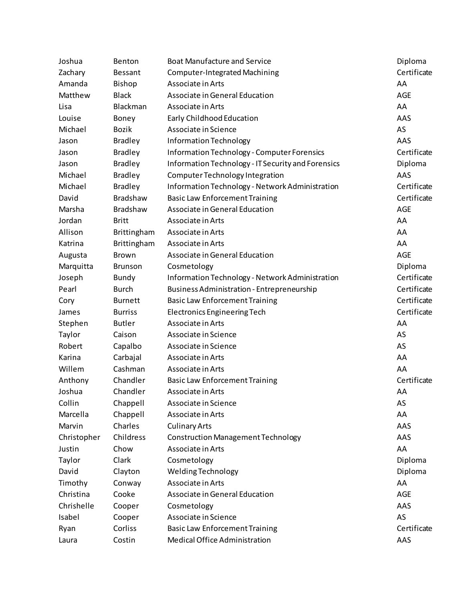| Joshua      | Benton          | <b>Boat Manufacture and Service</b>                | Diploma     |
|-------------|-----------------|----------------------------------------------------|-------------|
| Zachary     | Bessant         | Computer-Integrated Machining                      | Certificate |
| Amanda      | Bishop          | Associate in Arts                                  | AA          |
| Matthew     | <b>Black</b>    | Associate in General Education                     | <b>AGE</b>  |
| Lisa        | Blackman        | Associate in Arts                                  | AA          |
| Louise      | Boney           | Early Childhood Education                          | AAS         |
| Michael     | <b>Bozik</b>    | Associate in Science                               | AS          |
| Jason       | <b>Bradley</b>  | Information Technology                             | AAS         |
| Jason       | <b>Bradley</b>  | <b>Information Technology - Computer Forensics</b> | Certificate |
| Jason       | <b>Bradley</b>  | Information Technology - IT Security and Forensics | Diploma     |
| Michael     | <b>Bradley</b>  | Computer Technology Integration                    | AAS         |
| Michael     | <b>Bradley</b>  | Information Technology - Network Administration    | Certificate |
| David       | Bradshaw        | <b>Basic Law Enforcement Training</b>              | Certificate |
| Marsha      | <b>Bradshaw</b> | Associate in General Education                     | <b>AGE</b>  |
| Jordan      | <b>Britt</b>    | Associate in Arts                                  | AA          |
| Allison     | Brittingham     | Associate in Arts                                  | AA          |
| Katrina     | Brittingham     | Associate in Arts                                  | AA          |
| Augusta     | Brown           | Associate in General Education                     | <b>AGE</b>  |
| Marquitta   | <b>Brunson</b>  | Cosmetology                                        | Diploma     |
| Joseph      | Bundy           | Information Technology - Network Administration    | Certificate |
| Pearl       | <b>Burch</b>    | <b>Business Administration - Entrepreneurship</b>  | Certificate |
| Cory        | <b>Burnett</b>  | <b>Basic Law Enforcement Training</b>              | Certificate |
| James       | <b>Burriss</b>  | <b>Electronics Engineering Tech</b>                | Certificate |
| Stephen     | <b>Butler</b>   | Associate in Arts                                  | AA          |
| Taylor      | Caison          | Associate in Science                               | AS          |
| Robert      | Capalbo         | Associate in Science                               | AS          |
| Karina      | Carbajal        | Associate in Arts                                  | AA          |
| Willem      | Cashman         | Associate in Arts                                  | AA          |
| Anthony     | Chandler        | <b>Basic Law Enforcement Training</b>              | Certificate |
| Joshua      | Chandler        | Associate in Arts                                  | AA          |
| Collin      | Chappell        | Associate in Science                               | AS          |
| Marcella    | Chappell        | Associate in Arts                                  | AA          |
| Marvin      | Charles         | <b>Culinary Arts</b>                               | AAS         |
| Christopher | Childress       | <b>Construction Management Technology</b>          | AAS         |
| Justin      | Chow            | Associate in Arts                                  | AA          |
| Taylor      | Clark           | Cosmetology                                        | Diploma     |
| David       | Clayton         | <b>Welding Technology</b>                          | Diploma     |
| Timothy     | Conway          | Associate in Arts                                  | AA          |
| Christina   | Cooke           | Associate in General Education                     | AGE         |
| Chrishelle  | Cooper          | Cosmetology                                        | AAS         |
| Isabel      | Cooper          | Associate in Science                               | AS          |
| Ryan        | Corliss         | <b>Basic Law Enforcement Training</b>              | Certificate |
| Laura       | Costin          | Medical Office Administration                      | AAS         |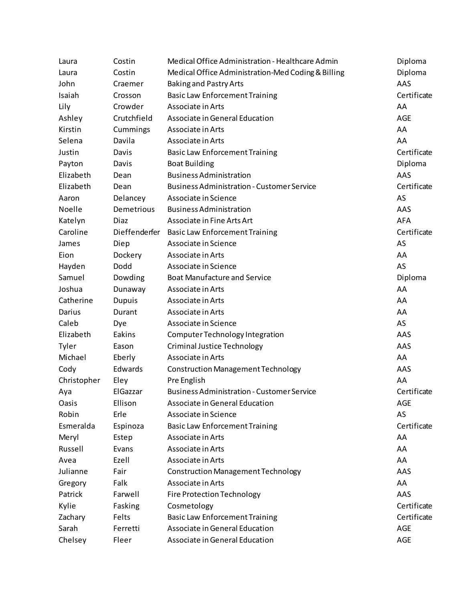| Laura       | Costin        | Medical Office Administration - Healthcare Admin   | Diploma     |
|-------------|---------------|----------------------------------------------------|-------------|
| Laura       | Costin        | Medical Office Administration-Med Coding & Billing | Diploma     |
| John        | Craemer       | <b>Baking and Pastry Arts</b>                      | AAS         |
| Isaiah      | Crosson       | <b>Basic Law Enforcement Training</b>              | Certificate |
| Lily        | Crowder       | Associate in Arts                                  | AA          |
| Ashley      | Crutchfield   | Associate in General Education                     | <b>AGE</b>  |
| Kirstin     | Cummings      | Associate in Arts                                  | AA          |
| Selena      | Davila        | Associate in Arts                                  | AA          |
| Justin      | Davis         | <b>Basic Law Enforcement Training</b>              | Certificate |
| Payton      | Davis         | <b>Boat Building</b>                               | Diploma     |
| Elizabeth   | Dean          | <b>Business Administration</b>                     | AAS         |
| Elizabeth   | Dean          | <b>Business Administration - Customer Service</b>  | Certificate |
| Aaron       | Delancey      | Associate in Science                               | AS          |
| Noelle      | Demetrious    | <b>Business Administration</b>                     | AAS         |
| Katelyn     | Diaz          | Associate in Fine Arts Art                         | <b>AFA</b>  |
| Caroline    |               | Dieffenderfer Basic Law Enforcement Training       | Certificate |
| James       | Diep          | Associate in Science                               | AS          |
| Eion        | Dockery       | Associate in Arts                                  | AA          |
| Hayden      | Dodd          | Associate in Science                               | AS          |
| Samuel      | Dowding       | <b>Boat Manufacture and Service</b>                | Diploma     |
| Joshua      | Dunaway       | Associate in Arts                                  | AA          |
| Catherine   | <b>Dupuis</b> | Associate in Arts                                  | AA          |
| Darius      | Durant        | Associate in Arts                                  | AA          |
| Caleb       | Dye           | Associate in Science                               | AS          |
| Elizabeth   | Eakins        | Computer Technology Integration                    | AAS         |
| Tyler       | Eason         | Criminal Justice Technology                        | AAS         |
| Michael     | Eberly        | Associate in Arts                                  | AA          |
| Cody        | Edwards       | <b>Construction Management Technology</b>          | AAS         |
| Christopher | Eley          | Pre English                                        | AA          |
| Aya         | ElGazzar      | <b>Business Administration - Customer Service</b>  | Certificate |
| Oasis       | Ellison       | Associate in General Education                     | AGE         |
| Robin       | Erle          | Associate in Science                               | AS          |
| Esmeralda   | Espinoza      | <b>Basic Law Enforcement Training</b>              | Certificate |
| Meryl       | Estep         | Associate in Arts                                  | AA          |
| Russell     | Evans         | Associate in Arts                                  | AA          |
| Avea        | Ezell         | Associate in Arts                                  | AA          |
| Julianne    | Fair          | <b>Construction Management Technology</b>          | AAS         |
| Gregory     | Falk          | Associate in Arts                                  | AA          |
| Patrick     | Farwell       | <b>Fire Protection Technology</b>                  | AAS         |
| Kylie       | Fasking       | Cosmetology                                        | Certificate |
| Zachary     | Felts         | <b>Basic Law Enforcement Training</b>              | Certificate |
| Sarah       | Ferretti      | Associate in General Education                     | AGE         |
| Chelsey     | Fleer         | Associate in General Education                     | AGE         |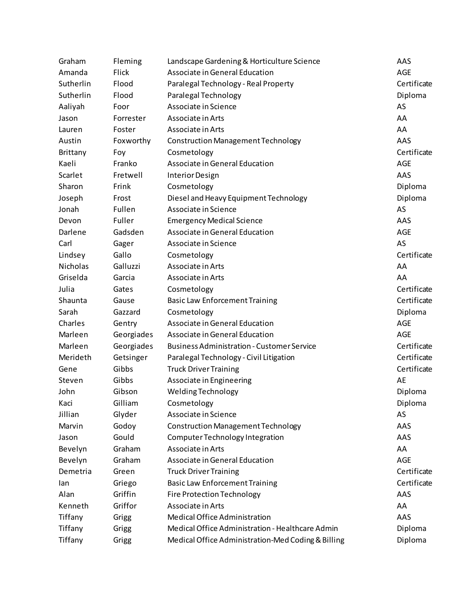| Graham    | Fleming    | Landscape Gardening & Horticulture Science         | AAS         |
|-----------|------------|----------------------------------------------------|-------------|
| Amanda    | Flick      | Associate in General Education                     | <b>AGE</b>  |
| Sutherlin | Flood      | Paralegal Technology - Real Property               | Certificate |
| Sutherlin | Flood      | Paralegal Technology                               | Diploma     |
| Aaliyah   | Foor       | Associate in Science                               | AS          |
| Jason     | Forrester  | Associate in Arts                                  | AA          |
| Lauren    | Foster     | Associate in Arts                                  | AA          |
| Austin    | Foxworthy  | Construction Management Technology                 | AAS         |
| Brittany  | Foy        | Cosmetology                                        | Certificate |
| Kaeli     | Franko     | Associate in General Education                     | AGE         |
| Scarlet   | Fretwell   | Interior Design                                    | AAS         |
| Sharon    | Frink      | Cosmetology                                        | Diploma     |
| Joseph    | Frost      | Diesel and Heavy Equipment Technology              | Diploma     |
| Jonah     | Fullen     | Associate in Science                               | AS          |
| Devon     | Fuller     | <b>Emergency Medical Science</b>                   | AAS         |
| Darlene   | Gadsden    | Associate in General Education                     | <b>AGE</b>  |
| Carl      | Gager      | Associate in Science                               | AS          |
| Lindsey   | Gallo      | Cosmetology                                        | Certificate |
| Nicholas  | Galluzzi   | Associate in Arts                                  | AA          |
| Griselda  | Garcia     | Associate in Arts                                  | AA          |
| Julia     | Gates      | Cosmetology                                        | Certificate |
| Shaunta   | Gause      | <b>Basic Law Enforcement Training</b>              | Certificate |
| Sarah     | Gazzard    | Cosmetology                                        | Diploma     |
| Charles   | Gentry     | Associate in General Education                     | <b>AGE</b>  |
| Marleen   | Georgiades | Associate in General Education                     | <b>AGE</b>  |
| Marleen   | Georgiades | <b>Business Administration - Customer Service</b>  | Certificate |
| Merideth  | Getsinger  | Paralegal Technology - Civil Litigation            | Certificate |
| Gene      | Gibbs      | <b>Truck Driver Training</b>                       | Certificate |
| Steven    | Gibbs      | Associate in Engineering                           | AE          |
| John      | Gibson     | Welding Technology                                 | Diploma     |
| Kaci      | Gilliam    | Cosmetology                                        | Diploma     |
| Jillian   | Glyder     | Associate in Science                               | AS          |
| Marvin    | Godoy      | <b>Construction Management Technology</b>          | AAS         |
| Jason     | Gould      | Computer Technology Integration                    | AAS         |
| Bevelyn   | Graham     | Associate in Arts                                  | AA          |
| Bevelyn   | Graham     | Associate in General Education                     | AGE         |
| Demetria  | Green      | <b>Truck Driver Training</b>                       | Certificate |
| lan       | Griego     | <b>Basic Law Enforcement Training</b>              | Certificate |
| Alan      | Griffin    | <b>Fire Protection Technology</b>                  | AAS         |
| Kenneth   | Griffor    | Associate in Arts                                  | AA          |
| Tiffany   | Grigg      | Medical Office Administration                      | AAS         |
| Tiffany   | Grigg      | Medical Office Administration - Healthcare Admin   | Diploma     |
| Tiffany   | Grigg      | Medical Office Administration-Med Coding & Billing | Diploma     |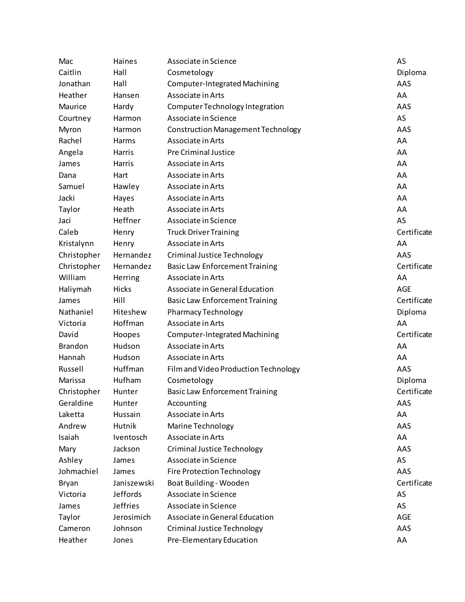| Mac            | Haines          | Associate in Science                      | AS          |
|----------------|-----------------|-------------------------------------------|-------------|
| Caitlin        | Hall            | Cosmetology                               | Diploma     |
| Jonathan       | Hall            | Computer-Integrated Machining             | AAS         |
| Heather        | Hansen          | Associate in Arts                         | AA          |
| Maurice        | Hardy           | Computer Technology Integration           | AAS         |
| Courtney       | Harmon          | Associate in Science                      | AS          |
| Myron          | Harmon          | <b>Construction Management Technology</b> | AAS         |
| Rachel         | Harms           | Associate in Arts                         | AA          |
| Angela         | Harris          | <b>Pre Criminal Justice</b>               | AA          |
| James          | Harris          | Associate in Arts                         | AA          |
| Dana           | Hart            | Associate in Arts                         | AA          |
| Samuel         | Hawley          | Associate in Arts                         | AA          |
| Jacki          | Hayes           | Associate in Arts                         | AA          |
| Taylor         | Heath           | Associate in Arts                         | AA          |
| Jaci           | Heffner         | Associate in Science                      | AS          |
| Caleb          | Henry           | <b>Truck Driver Training</b>              | Certificate |
| Kristalynn     | Henry           | Associate in Arts                         | AA          |
| Christopher    | Hernandez       | Criminal Justice Technology               | AAS         |
| Christopher    | Hernandez       | <b>Basic Law Enforcement Training</b>     | Certificate |
| William        | Herring         | Associate in Arts                         | AA          |
| Haliymah       | Hicks           | Associate in General Education            | <b>AGE</b>  |
| James          | Hill            | <b>Basic Law Enforcement Training</b>     | Certificate |
| Nathaniel      | Hiteshew        | <b>Pharmacy Technology</b>                | Diploma     |
| Victoria       | Hoffman         | Associate in Arts                         | AA          |
| David          | Hoopes          | Computer-Integrated Machining             | Certificate |
| <b>Brandon</b> | Hudson          | Associate in Arts                         | AA          |
| Hannah         | Hudson          | Associate in Arts                         | AA          |
| Russell        | Huffman         | Film and Video Production Technology      | AAS         |
| Marissa        | Hufham          | Cosmetology                               | Diploma     |
| Christopher    | Hunter          | <b>Basic Law Enforcement Training</b>     | Certificate |
| Geraldine      | Hunter          | Accounting                                | AAS         |
| Laketta        | Hussain         | Associate in Arts                         | AA          |
| Andrew         | Hutnik          | Marine Technology                         | AAS         |
| Isaiah         | Iventosch       | Associate in Arts                         | AA          |
| Mary           | Jackson         | <b>Criminal Justice Technology</b>        | AAS         |
| Ashley         | James           | Associate in Science                      | AS          |
| Johmachiel     | James           | <b>Fire Protection Technology</b>         | AAS         |
| Bryan          | Janiszewski     | Boat Building - Wooden                    | Certificate |
| Victoria       | <b>Jeffords</b> | Associate in Science                      | AS          |
| James          | <b>Jeffries</b> | Associate in Science                      | AS          |
| Taylor         | Jerosimich      | Associate in General Education            | AGE         |
| Cameron        | Johnson         | Criminal Justice Technology               | AAS         |
| Heather        | Jones           | Pre-Elementary Education                  | AA          |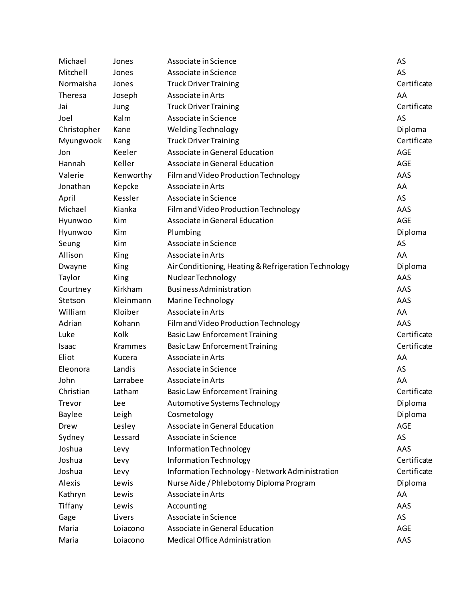| Michael        | Jones          | Associate in Science                                 | AS          |
|----------------|----------------|------------------------------------------------------|-------------|
| Mitchell       | Jones          | Associate in Science                                 | AS          |
| Normaisha      | Jones          | <b>Truck Driver Training</b>                         | Certificate |
| <b>Theresa</b> | Joseph         | Associate in Arts                                    | AA          |
| Jai            | Jung           | <b>Truck Driver Training</b>                         | Certificate |
| Joel           | Kalm           | Associate in Science                                 | AS          |
| Christopher    | Kane           | Welding Technology                                   | Diploma     |
| Myungwook      | Kang           | <b>Truck Driver Training</b>                         | Certificate |
| Jon            | Keeler         | Associate in General Education                       | AGE         |
| Hannah         | Keller         | Associate in General Education                       | <b>AGE</b>  |
| Valerie        | Kenworthy      | Film and Video Production Technology                 | AAS         |
| Jonathan       | Kepcke         | Associate in Arts                                    | AA          |
| April          | Kessler        | Associate in Science                                 | AS          |
| Michael        | Kianka         | Film and Video Production Technology                 | AAS         |
| Hyunwoo        | Kim            | Associate in General Education                       | <b>AGE</b>  |
| Hyunwoo        | Kim            | Plumbing                                             | Diploma     |
| Seung          | Kim            | Associate in Science                                 | AS          |
| Allison        | King           | Associate in Arts                                    | AA          |
| Dwayne         | King           | Air Conditioning, Heating & Refrigeration Technology | Diploma     |
| Taylor         | King           | Nuclear Technology                                   | AAS         |
| Courtney       | Kirkham        | <b>Business Administration</b>                       | AAS         |
| Stetson        | Kleinmann      | Marine Technology                                    | AAS         |
| William        | Kloiber        | Associate in Arts                                    | AA          |
| Adrian         | Kohann         | Film and Video Production Technology                 | AAS         |
| Luke           | Kolk           | <b>Basic Law Enforcement Training</b>                | Certificate |
| Isaac          | <b>Krammes</b> | <b>Basic Law Enforcement Training</b>                | Certificate |
| Eliot          | Kucera         | Associate in Arts                                    | AA          |
| Eleonora       | Landis         | Associate in Science                                 | AS          |
| John           | Larrabee       | Associate in Arts                                    | AA          |
| Christian      | Latham         | <b>Basic Law Enforcement Training</b>                | Certificate |
| Trevor         | Lee            | Automotive Systems Technology                        | Diploma     |
| Baylee         | Leigh          | Cosmetology                                          | Diploma     |
| Drew           | Lesley         | Associate in General Education                       | <b>AGE</b>  |
| Sydney         | Lessard        | Associate in Science                                 | AS          |
| Joshua         | Levy           | Information Technology                               | AAS         |
| Joshua         | Levy           | Information Technology                               | Certificate |
| Joshua         | Levy           | Information Technology - Network Administration      | Certificate |
| Alexis         | Lewis          | Nurse Aide / Phlebotomy Diploma Program              | Diploma     |
| Kathryn        | Lewis          | Associate in Arts                                    | AA          |
| Tiffany        | Lewis          | Accounting                                           | AAS         |
| Gage           | Livers         | Associate in Science                                 | AS          |
| Maria          | Loiacono       | Associate in General Education                       | AGE         |
| Maria          | Loiacono       | Medical Office Administration                        | AAS         |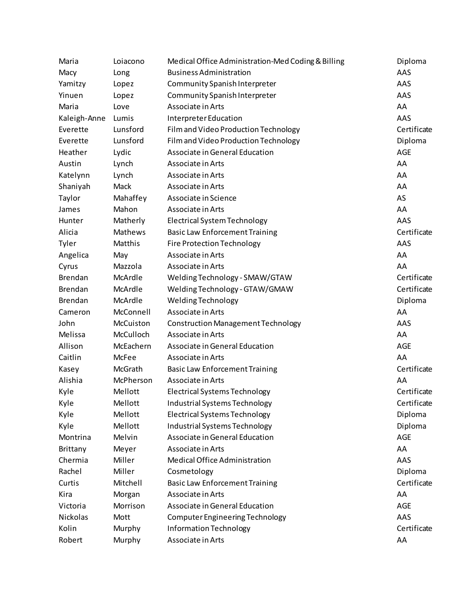| Maria           | Loiacono       | Medical Office Administration-Med Coding & Billing | Diploma     |
|-----------------|----------------|----------------------------------------------------|-------------|
| Macy            | Long           | <b>Business Administration</b>                     | AAS         |
| Yamitzy         | Lopez          | Community Spanish Interpreter                      | AAS         |
| Yinuen          | Lopez          | Community Spanish Interpreter                      | AAS         |
| Maria           | Love           | Associate in Arts                                  | AA          |
| Kaleigh-Anne    | Lumis          | Interpreter Education                              | AAS         |
| Everette        | Lunsford       | Film and Video Production Technology               | Certificate |
| Everette        | Lunsford       | Film and Video Production Technology               | Diploma     |
| Heather         | Lydic          | Associate in General Education                     | AGE         |
| Austin          | Lynch          | Associate in Arts                                  | AA          |
| Katelynn        | Lynch          | Associate in Arts                                  | AA          |
| Shaniyah        | Mack           | Associate in Arts                                  | AA          |
| Taylor          | Mahaffey       | Associate in Science                               | AS          |
| James           | Mahon          | Associate in Arts                                  | AA          |
| Hunter          | Matherly       | <b>Electrical System Technology</b>                | AAS         |
| Alicia          | <b>Mathews</b> | <b>Basic Law Enforcement Training</b>              | Certificate |
| Tyler           | Matthis        | <b>Fire Protection Technology</b>                  | AAS         |
| Angelica        | May            | Associate in Arts                                  | AA          |
| Cyrus           | Mazzola        | Associate in Arts                                  | AA          |
| <b>Brendan</b>  | McArdle        | Welding Technology - SMAW/GTAW                     | Certificate |
| <b>Brendan</b>  | McArdle        | Welding Technology - GTAW/GMAW                     | Certificate |
| Brendan         | McArdle        | <b>Welding Technology</b>                          | Diploma     |
| Cameron         | McConnell      | Associate in Arts                                  | AA          |
| John            | McCuiston      | <b>Construction Management Technology</b>          | AAS         |
| Melissa         | McCulloch      | Associate in Arts                                  | AA          |
| Allison         | McEachern      | Associate in General Education                     | <b>AGE</b>  |
| Caitlin         | McFee          | Associate in Arts                                  | AA          |
| Kasey           | McGrath        | <b>Basic Law Enforcement Training</b>              | Certificate |
| Alishia         | McPherson      | Associate in Arts                                  | AA          |
| Kyle            | Mellott        | <b>Electrical Systems Technology</b>               | Certificate |
| Kyle            | Mellott        | Industrial Systems Technology                      | Certificate |
| Kyle            | Mellott        | <b>Electrical Systems Technology</b>               | Diploma     |
| Kyle            | Mellott        | <b>Industrial Systems Technology</b>               | Diploma     |
| Montrina        | Melvin         | Associate in General Education                     | <b>AGE</b>  |
| <b>Brittany</b> | Meyer          | Associate in Arts                                  | AA          |
| Chermia         | Miller         | Medical Office Administration                      | AAS         |
| Rachel          | Miller         | Cosmetology                                        | Diploma     |
| Curtis          | Mitchell       | <b>Basic Law Enforcement Training</b>              | Certificate |
| Kira            | Morgan         | Associate in Arts                                  | AA          |
| Victoria        | Morrison       | Associate in General Education                     | <b>AGE</b>  |
| Nickolas        | Mott           | Computer Engineering Technology                    | AAS         |
| Kolin           | Murphy         | Information Technology                             | Certificate |
| Robert          | Murphy         | Associate in Arts                                  | AA          |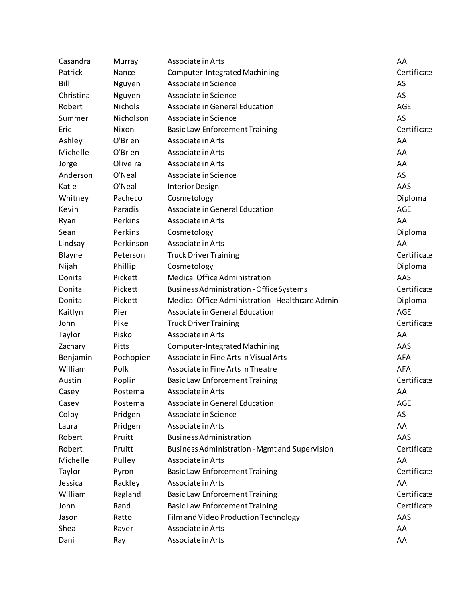| Casandra  | Murray         | Associate in Arts                                     | AA          |
|-----------|----------------|-------------------------------------------------------|-------------|
| Patrick   | Nance          | Computer-Integrated Machining                         | Certificate |
| Bill      | Nguyen         | Associate in Science                                  | AS          |
| Christina | Nguyen         | Associate in Science                                  | AS          |
| Robert    | <b>Nichols</b> | Associate in General Education                        | <b>AGE</b>  |
| Summer    | Nicholson      | Associate in Science                                  | AS          |
| Eric      | Nixon          | <b>Basic Law Enforcement Training</b>                 | Certificate |
| Ashley    | O'Brien        | Associate in Arts                                     | AA          |
| Michelle  | O'Brien        | Associate in Arts                                     | AA          |
| Jorge     | Oliveira       | Associate in Arts                                     | AA          |
| Anderson  | O'Neal         | Associate in Science                                  | AS          |
| Katie     | O'Neal         | Interior Design                                       | AAS         |
| Whitney   | Pacheco        | Cosmetology                                           | Diploma     |
| Kevin     | Paradis        | Associate in General Education                        | <b>AGE</b>  |
| Ryan      | Perkins        | Associate in Arts                                     | AA          |
| Sean      | Perkins        | Cosmetology                                           | Diploma     |
| Lindsay   | Perkinson      | Associate in Arts                                     | AA          |
| Blayne    | Peterson       | <b>Truck Driver Training</b>                          | Certificate |
| Nijah     | Phillip        | Cosmetology                                           | Diploma     |
| Donita    | Pickett        | Medical Office Administration                         | AAS         |
| Donita    | Pickett        | <b>Business Administration - Office Systems</b>       | Certificate |
| Donita    | Pickett        | Medical Office Administration - Healthcare Admin      | Diploma     |
| Kaitlyn   | Pier           | Associate in General Education                        | <b>AGE</b>  |
| John      | Pike           | <b>Truck Driver Training</b>                          | Certificate |
| Taylor    | Pisko          | Associate in Arts                                     | AA          |
| Zachary   | Pitts          | <b>Computer-Integrated Machining</b>                  | AAS         |
| Benjamin  | Pochopien      | Associate in Fine Arts in Visual Arts                 | <b>AFA</b>  |
| William   | Polk           | Associate in Fine Arts in Theatre                     | <b>AFA</b>  |
| Austin    | Poplin         | <b>Basic Law Enforcement Training</b>                 | Certificate |
| Casey     | Postema        | Associate in Arts                                     | AA          |
| Casey     | Postema        | Associate in General Education                        | AGE         |
| Colby     | Pridgen        | Associate in Science                                  | AS          |
| Laura     | Pridgen        | Associate in Arts                                     | AA          |
| Robert    | Pruitt         | <b>Business Administration</b>                        | AAS         |
| Robert    | Pruitt         | <b>Business Administration - Mgmt and Supervision</b> | Certificate |
| Michelle  | Pulley         | Associate in Arts                                     | AA          |
| Taylor    | Pyron          | <b>Basic Law Enforcement Training</b>                 | Certificate |
| Jessica   | Rackley        | Associate in Arts                                     | AA          |
| William   | Ragland        | <b>Basic Law Enforcement Training</b>                 | Certificate |
| John      | Rand           | <b>Basic Law Enforcement Training</b>                 | Certificate |
| Jason     | Ratto          | Film and Video Production Technology                  | AAS         |
| Shea      | Raver          | Associate in Arts                                     | AA          |
| Dani      | Ray            | Associate in Arts                                     | AA          |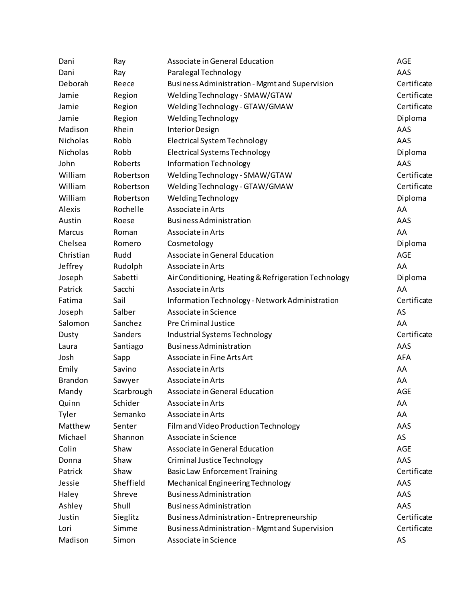| Dani           | Ray        | Associate in General Education                        | AGE         |
|----------------|------------|-------------------------------------------------------|-------------|
| Dani           | Ray        | Paralegal Technology                                  | AAS         |
| Deborah        | Reece      | <b>Business Administration - Mgmt and Supervision</b> | Certificate |
| Jamie          | Region     | Welding Technology - SMAW/GTAW                        | Certificate |
| Jamie          | Region     | Welding Technology - GTAW/GMAW                        | Certificate |
| Jamie          | Region     | Welding Technology                                    | Diploma     |
| Madison        | Rhein      | Interior Design                                       | AAS         |
| Nicholas       | Robb       | Electrical System Technology                          | AAS         |
| Nicholas       | Robb       | <b>Electrical Systems Technology</b>                  | Diploma     |
| John           | Roberts    | Information Technology                                | AAS         |
| William        | Robertson  | Welding Technology - SMAW/GTAW                        | Certificate |
| William        | Robertson  | Welding Technology - GTAW/GMAW                        | Certificate |
| William        | Robertson  | Welding Technology                                    | Diploma     |
| Alexis         | Rochelle   | Associate in Arts                                     | AA          |
| Austin         | Roese      | <b>Business Administration</b>                        | AAS         |
| Marcus         | Roman      | Associate in Arts                                     | AA          |
| Chelsea        | Romero     | Cosmetology                                           | Diploma     |
| Christian      | Rudd       | Associate in General Education                        | <b>AGE</b>  |
| Jeffrey        | Rudolph    | Associate in Arts                                     | AA          |
| Joseph         | Sabetti    | Air Conditioning, Heating & Refrigeration Technology  | Diploma     |
| Patrick        | Sacchi     | Associate in Arts                                     | AA          |
| Fatima         | Sail       | Information Technology - Network Administration       | Certificate |
| Joseph         | Salber     | Associate in Science                                  | AS          |
| Salomon        | Sanchez    | <b>Pre Criminal Justice</b>                           | AA          |
| Dusty          | Sanders    | Industrial Systems Technology                         | Certificate |
| Laura          | Santiago   | <b>Business Administration</b>                        | AAS         |
| Josh           | Sapp       | Associate in Fine Arts Art                            | <b>AFA</b>  |
| Emily          | Savino     | Associate in Arts                                     | AA          |
| <b>Brandon</b> | Sawyer     | Associate in Arts                                     | AA          |
| Mandy          | Scarbrough | Associate in General Education                        | AGE         |
| Quinn          | Schider    | Associate in Arts                                     | AA          |
| Tyler          | Semanko    | Associate in Arts                                     | AA          |
| Matthew        | Senter     | Film and Video Production Technology                  | AAS         |
| Michael        | Shannon    | Associate in Science                                  | AS          |
| Colin          | Shaw       | Associate in General Education                        | AGE         |
| Donna          | Shaw       | Criminal Justice Technology                           | AAS         |
| Patrick        | Shaw       | <b>Basic Law Enforcement Training</b>                 | Certificate |
| Jessie         | Sheffield  | Mechanical Engineering Technology                     | AAS         |
| Haley          | Shreve     | <b>Business Administration</b>                        | AAS         |
| Ashley         | Shull      | <b>Business Administration</b>                        | AAS         |
| Justin         | Sieglitz   | <b>Business Administration - Entrepreneurship</b>     | Certificate |
| Lori           | Simme      | <b>Business Administration - Mgmt and Supervision</b> | Certificate |
| Madison        | Simon      | Associate in Science                                  | AS          |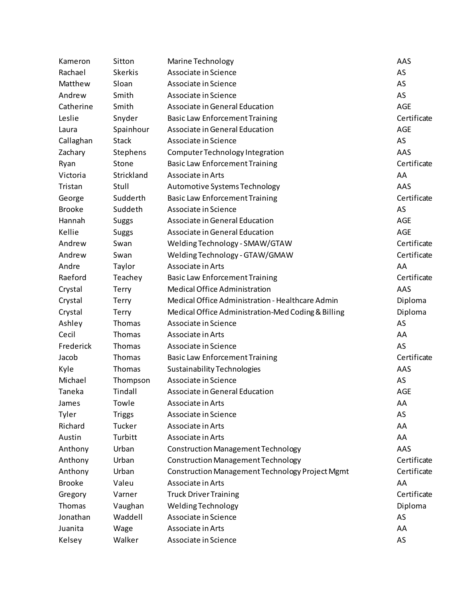| Kameron       | Sitton         | Marine Technology                                  | AAS         |
|---------------|----------------|----------------------------------------------------|-------------|
| Rachael       | <b>Skerkis</b> | Associate in Science                               | AS          |
| Matthew       | Sloan          | Associate in Science                               | AS          |
| Andrew        | Smith          | Associate in Science                               | AS          |
| Catherine     | Smith          | Associate in General Education                     | <b>AGE</b>  |
| Leslie        | Snyder         | <b>Basic Law Enforcement Training</b>              | Certificate |
| Laura         | Spainhour      | Associate in General Education                     | AGE         |
| Callaghan     | <b>Stack</b>   | Associate in Science                               | AS          |
| Zachary       | Stephens       | Computer Technology Integration                    | AAS         |
| Ryan          | Stone          | <b>Basic Law Enforcement Training</b>              | Certificate |
| Victoria      | Strickland     | Associate in Arts                                  | AA          |
| Tristan       | Stull          | Automotive Systems Technology                      | AAS         |
| George        | Sudderth       | <b>Basic Law Enforcement Training</b>              | Certificate |
| <b>Brooke</b> | Suddeth        | Associate in Science                               | AS          |
| Hannah        | <b>Suggs</b>   | Associate in General Education                     | AGE         |
| Kellie        | <b>Suggs</b>   | Associate in General Education                     | <b>AGE</b>  |
| Andrew        | Swan           | Welding Technology - SMAW/GTAW                     | Certificate |
| Andrew        | Swan           | Welding Technology - GTAW/GMAW                     | Certificate |
| Andre         | Taylor         | Associate in Arts                                  | AA          |
| Raeford       | Teachey        | <b>Basic Law Enforcement Training</b>              | Certificate |
| Crystal       | Terry          | Medical Office Administration                      | AAS         |
| Crystal       | Terry          | Medical Office Administration - Healthcare Admin   | Diploma     |
| Crystal       | Terry          | Medical Office Administration-Med Coding & Billing | Diploma     |
| Ashley        | Thomas         | Associate in Science                               | AS          |
| Cecil         | Thomas         | Associate in Arts                                  | AA          |
| Frederick     | Thomas         | Associate in Science                               | AS          |
| Jacob         | Thomas         | <b>Basic Law Enforcement Training</b>              | Certificate |
| Kyle          | Thomas         | Sustainability Technologies                        | AAS         |
| Michael       | Thompson       | Associate in Science                               | AS          |
| Taneka        | Tindall        | Associate in General Education                     | <b>AGE</b>  |
| James         | Towle          | Associate in Arts                                  | AA          |
| Tyler         | <b>Triggs</b>  | Associate in Science                               | AS          |
| Richard       | Tucker         | Associate in Arts                                  | AA          |
| Austin        | Turbitt        | Associate in Arts                                  | AA          |
| Anthony       | Urban          | Construction Management Technology                 | AAS         |
| Anthony       | Urban          | <b>Construction Management Technology</b>          | Certificate |
| Anthony       | Urban          | Construction Management Technology Project Mgmt    | Certificate |
| <b>Brooke</b> | Valeu          | Associate in Arts                                  | AA          |
| Gregory       | Varner         | <b>Truck Driver Training</b>                       | Certificate |
| Thomas        | Vaughan        | Welding Technology                                 | Diploma     |
| Jonathan      | Waddell        | Associate in Science                               | AS          |
| Juanita       | Wage           | Associate in Arts                                  | AA          |
| Kelsey        | Walker         | Associate in Science                               | AS          |